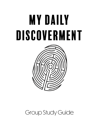## My Daily DISCOVERMENT



## Group Study Guide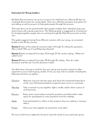## Instruction for Group Leaders:

My Daily Discoverment is set up as a resource for individual use, offering 40 days of vocational discernment for young adults. There are reflection questions and spaces for journalling, as well as prayers to help guide people through the process.

That said, there can be great benefit when people combine their individual study and discernment with a group experience. The following guide is suggested as a framework for bringing together people who are working through My Daily Discoverment on their own.

This guide suggests having three different sessions with your group, at convenient breaks in the 40 day journey.

Session 1 looks at the material covered in days 1 through 12, asking the questions... Who is God? Who am I? and What does God do?

Session 2 looks at material from days 13 through 27, the section asking... What am I called to do?

Session 3 looks at material from days 28 through 40, asking... How do I make decisions? and How do I live the decisions I make?

You likely have a format in mind for how your group may function, based on other experiences you've had of group studies. If not, you may wish to consider including the following each time you gather…

| Check-in: | Welcome everyone into the space and check the emotional temperature<br>of the room. Remind participants of agreed upon norms or covenants. |
|-----------|--------------------------------------------------------------------------------------------------------------------------------------------|
| Worship:  | Take a moment to pray together, light a candle, and/or share a piece of<br>centring music.                                                 |
| Discuss:  | Enjoy some conversations using the questions provided and/or make<br>space for participants to raise questions from the readings.          |
| Apply:    | Invite participants to reflect on the progress they are making or seeing in<br>others.                                                     |
| Prayer:   | Close your time together by praying for each other.                                                                                        |

Of course, feel free to adapt this format to meet the needs of your particular group.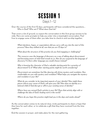## Session 1 Days  $1 - 12$

Over the course of the first 12 days, participants will have considered the questions… Who is God? Who am I? What does God do?

That covers a lot of ground, so expect the conversation in this first group session to be wide. Here are some prompts to help you enter into a meaningful conversation. Feel free to engage some of them after you take time to check-in and worship together.

*What intentions, hopes, or expectations did you carry with you into the start of this process? Have they shifted at all, now that you are 12 days in?*

*What about the structure of this practice do you find engaging or challenging?*

*This resource uses the language of discovery as a way of talking about discernment and becoming aware of what God reveals to us. How do you respond to the language of discovery? Is there other language you would choose instead?*

*Why is knowing the character of God a valuable starting point for a practice of discernment? Is it? What other starting points might be worth considering?* 

*Discernment can sometimes feel like dancing with divine mystery and revelation. How comfortable are you with mystery and revelation? What helps you navigate the mystery and revelation in your life?*

*What do you consider to be important aspects of your identity? How might those pieces inform your sense of God's call upon your life? How does an identity as a beloved child of God disrupt or affirm your existing sense of identity?*

*Where have you sensed God's activity in your life? Does that activity align with or challenge the idea of God's healing work in the world?* 

*Where do you hope this practice might lead you in the days and weeks ahead?*

As the conversation comes to its natural close, invite participants to share a hope that they have for each other, or to celebrate a gift that they have received from the time together.

End the session in prayer, and make plans for the next gathering.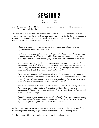

Over the course of these 15 days, participants will have considered the question… What am I called to do?

This section gets at the topic of vocation and calling, a new consideration for many young adults - and hopefully one that resonates. Feel free to invite clarifying questions from any of the readings, or use some of the following questions to guide your discussion, after a time of check-in and worship.

*Where have you encountered the language of vocation and call before? What expectations do those words hold for you?*

*The terms vocation and call both draw on imagery of a divine voice. Where have you encountered the voice of God in your life? What might you suggest to someone who hasn't experienced it? What other language might help God's invitation come alive?*

*One's vocation has the potential to be so much more than your employment. Why do we gravitate there first? What is it about the demands of career and employment that limit our imagination about a meaningful life? What aspects of your life outside of career might contribute to a sense of God's call in your life?*

*Discerning a vocation can feel highly individualized, but at the same time connects us to the needs of others and the world around us. How do you sense God calling you to hold both your individual and communal concerns together? What helps you achieve balance between these demands? Is balance the right word?*

*How do you respond to the idea of vocational seasons? How do you distinguish between the parts of your vocation that are time-limited, and those that are life-long commitments? Where have you seen evidence of people being faithful to God through different seasons of living?*

*What do you find to be a faithful understanding of work? When have you experienced the joys as well as the challenges of pursuing meaningful labour? What are some red flags that tell you when your work life is not what it should be?*

As the conversation wraps up, invite participants to share a word or statement from the time together, that they're going to think more about in the coming days.

End the session with prayer, and make plans for the final gathering.